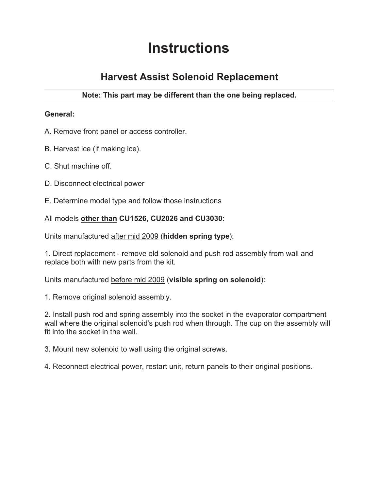# **Instructions**

# **Harvest Assist Solenoid Replacement**

## **Note: This part may be different than the one being replaced.**

### **General:**

- A. Remove front panel or access controller.
- B. Harvest ice (if making ice).
- C. Shut machine off.
- D. Disconnect electrical power
- E. Determine model type and follow those instructions

#### All models **other than CU1526, CU2026 and CU3030:**

Units manufactured after mid 2009 (**hidden spring type**):

1. Direct replacement - remove old solenoid and push rod assembly from wall and replace both with new parts from the kit.

Units manufactured before mid 2009 (**visible spring on solenoid**):

1. Remove original solenoid assembly.

2. Install push rod and spring assembly into the socket in the evaporator compartment wall where the original solenoid's push rod when through. The cup on the assembly will fit into the socket in the wall.

3. Mount new solenoid to wall using the original screws.

4. Reconnect electrical power, restart unit, return panels to their original positions.